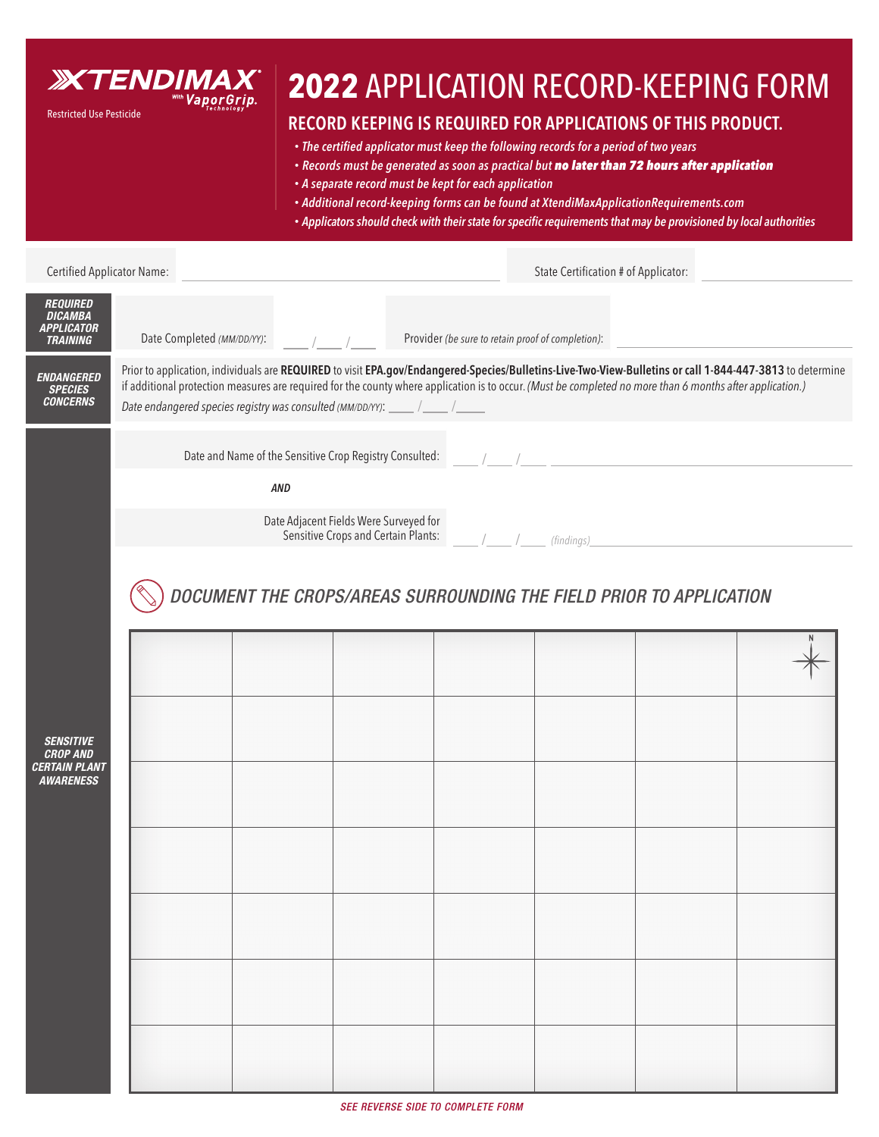

## **2022** APPLICATION RECORD-KEEPING FORM

## **RECORD KEEPING IS REQUIRED FOR APPLICATIONS OF THIS PRODUCT.**

- The certified applicator must keep the following records for a period of two years
- *• Records must be generated as soon as practical but no later than 72 hours after application*
- *• A separate record must be kept for each application*
- *• Additional record-keeping forms can be found at XtendiMaxApplicationRequirements.com*
- Applicators should check with their state for specific requirements that may be provisioned by local authorities

| Certified Applicator Name:                                                      |                                                                                                                                                                                                                                                                                                                                                                                                 |  | State Certification # of Applicator: |                                                   |  |  |  |  |
|---------------------------------------------------------------------------------|-------------------------------------------------------------------------------------------------------------------------------------------------------------------------------------------------------------------------------------------------------------------------------------------------------------------------------------------------------------------------------------------------|--|--------------------------------------|---------------------------------------------------|--|--|--|--|
| <b>REQUIRED</b><br><b>DICAMBA</b><br><b>APPLICATOR</b><br><b>TRAINING</b>       | Date Completed (MM/DD/YY):                                                                                                                                                                                                                                                                                                                                                                      |  |                                      | Provider (be sure to retain proof of completion): |  |  |  |  |
| <b>ENDANGERED</b><br><b>SPECIES</b><br><b>CONCERNS</b>                          | Prior to application, individuals are REQUIRED to visit EPA.gov/Endangered-Species/Bulletins-Live-Two-View-Bulletins or call 1-844-447-3813 to determine<br>if additional protection measures are required for the county where application is to occur. (Must be completed no more than 6 months after application.)<br>Date endangered species registry was consulted (MM/DD/YY): ____ / ____ |  |                                      |                                                   |  |  |  |  |
|                                                                                 | Date and Name of the Sensitive Crop Registry Consulted:<br>AND                                                                                                                                                                                                                                                                                                                                  |  |                                      |                                                   |  |  |  |  |
|                                                                                 | Date Adjacent Fields Were Surveyed for<br>Sensitive Crops and Certain Plants:<br>(findings)_                                                                                                                                                                                                                                                                                                    |  |                                      |                                                   |  |  |  |  |
| <b>SENSITIVE</b><br><b>CROP AND</b><br><b>CERTAIN PLANT</b><br><b>AWARENESS</b> | DOCUMENT THE CROPS/AREAS SURROUNDING THE FIELD PRIOR TO APPLICATION                                                                                                                                                                                                                                                                                                                             |  |                                      |                                                   |  |  |  |  |
|                                                                                 |                                                                                                                                                                                                                                                                                                                                                                                                 |  |                                      |                                                   |  |  |  |  |
|                                                                                 |                                                                                                                                                                                                                                                                                                                                                                                                 |  |                                      |                                                   |  |  |  |  |
|                                                                                 |                                                                                                                                                                                                                                                                                                                                                                                                 |  |                                      |                                                   |  |  |  |  |
|                                                                                 |                                                                                                                                                                                                                                                                                                                                                                                                 |  |                                      |                                                   |  |  |  |  |
|                                                                                 |                                                                                                                                                                                                                                                                                                                                                                                                 |  |                                      |                                                   |  |  |  |  |
|                                                                                 |                                                                                                                                                                                                                                                                                                                                                                                                 |  |                                      |                                                   |  |  |  |  |
|                                                                                 |                                                                                                                                                                                                                                                                                                                                                                                                 |  |                                      |                                                   |  |  |  |  |